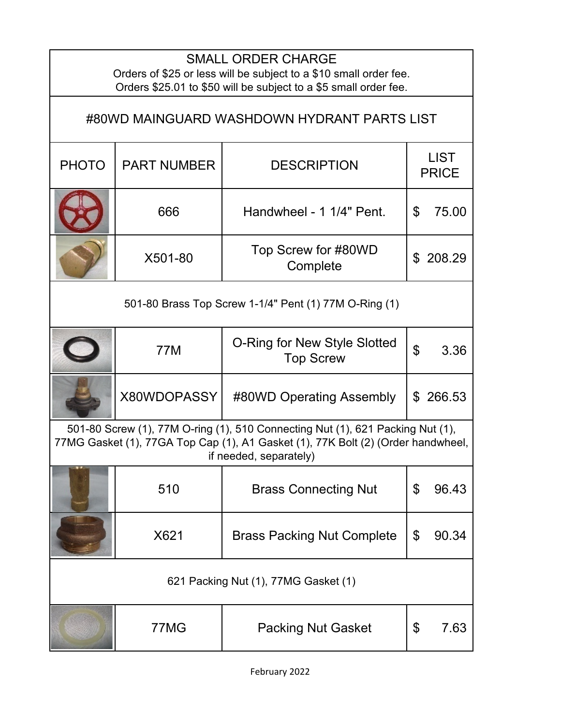| <b>SMALL ORDER CHARGE</b><br>Orders of \$25 or less will be subject to a \$10 small order fee.<br>Orders \$25.01 to \$50 will be subject to a \$5 small order fee.                           |                    |                                                  |                             |  |  |
|----------------------------------------------------------------------------------------------------------------------------------------------------------------------------------------------|--------------------|--------------------------------------------------|-----------------------------|--|--|
| #80WD MAINGUARD WASHDOWN HYDRANT PARTS LIST                                                                                                                                                  |                    |                                                  |                             |  |  |
| <b>PHOTO</b>                                                                                                                                                                                 | <b>PART NUMBER</b> | <b>DESCRIPTION</b>                               | <b>LIST</b><br><b>PRICE</b> |  |  |
|                                                                                                                                                                                              | 666                | Handwheel - 1 1/4" Pent.                         | \$<br>75.00                 |  |  |
|                                                                                                                                                                                              | X501-80            | Top Screw for #80WD<br>Complete                  | 208.29<br>\$                |  |  |
| 501-80 Brass Top Screw 1-1/4" Pent (1) 77M O-Ring (1)                                                                                                                                        |                    |                                                  |                             |  |  |
|                                                                                                                                                                                              | 77M                | O-Ring for New Style Slotted<br><b>Top Screw</b> | $\mathfrak{P}$<br>3.36      |  |  |
|                                                                                                                                                                                              | X80WDOPASSY        | #80WD Operating Assembly                         | \$266.53                    |  |  |
| 501-80 Screw (1), 77M O-ring (1), 510 Connecting Nut (1), 621 Packing Nut (1),<br>77MG Gasket (1), 77GA Top Cap (1), A1 Gasket (1), 77K Bolt (2) (Order handwheel,<br>if needed, separately) |                    |                                                  |                             |  |  |
|                                                                                                                                                                                              | 510                | <b>Brass Connecting Nut</b>                      | \$<br>96.43                 |  |  |
|                                                                                                                                                                                              | X621               | <b>Brass Packing Nut Complete</b>                | \$<br>90.34                 |  |  |
| 621 Packing Nut (1), 77MG Gasket (1)                                                                                                                                                         |                    |                                                  |                             |  |  |
|                                                                                                                                                                                              | 77MG               | <b>Packing Nut Gasket</b>                        | \$<br>7.63                  |  |  |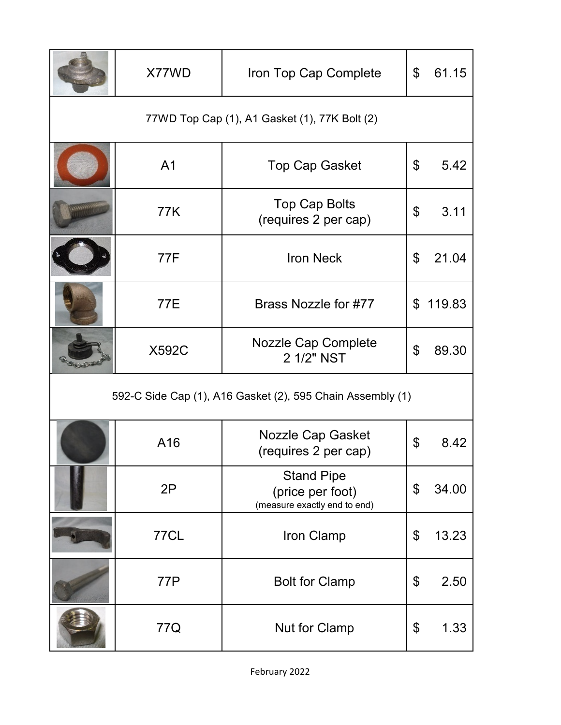|                                                            | X77WD          | Iron Top Cap Complete                                                 | $\mathfrak{S}$ | 61.15    |  |  |
|------------------------------------------------------------|----------------|-----------------------------------------------------------------------|----------------|----------|--|--|
| 77WD Top Cap (1), A1 Gasket (1), 77K Bolt (2)              |                |                                                                       |                |          |  |  |
|                                                            | A <sub>1</sub> | <b>Top Cap Gasket</b>                                                 | \$             | 5.42     |  |  |
|                                                            | 77K            | <b>Top Cap Bolts</b><br>(requires 2 per cap)                          | \$             | 3.11     |  |  |
|                                                            | 77F            | <b>Iron Neck</b>                                                      | \$             | 21.04    |  |  |
|                                                            | <b>77E</b>     | Brass Nozzle for #77                                                  |                | \$119.83 |  |  |
|                                                            | <b>X592C</b>   | <b>Nozzle Cap Complete</b><br>2 1/2" NST                              | \$             | 89.30    |  |  |
| 592-C Side Cap (1), A16 Gasket (2), 595 Chain Assembly (1) |                |                                                                       |                |          |  |  |
|                                                            | A16            | Nozzle Cap Gasket<br>(requires 2 per cap)                             | \$             | 8.42     |  |  |
|                                                            | 2P             | <b>Stand Pipe</b><br>(price per foot)<br>(measure exactly end to end) | \$             | 34.00    |  |  |
|                                                            | <b>77CL</b>    | Iron Clamp                                                            | \$             | 13.23    |  |  |
|                                                            | 77P            | <b>Bolt for Clamp</b>                                                 | \$             | 2.50     |  |  |
|                                                            | 77Q            | <b>Nut for Clamp</b>                                                  | \$             | 1.33     |  |  |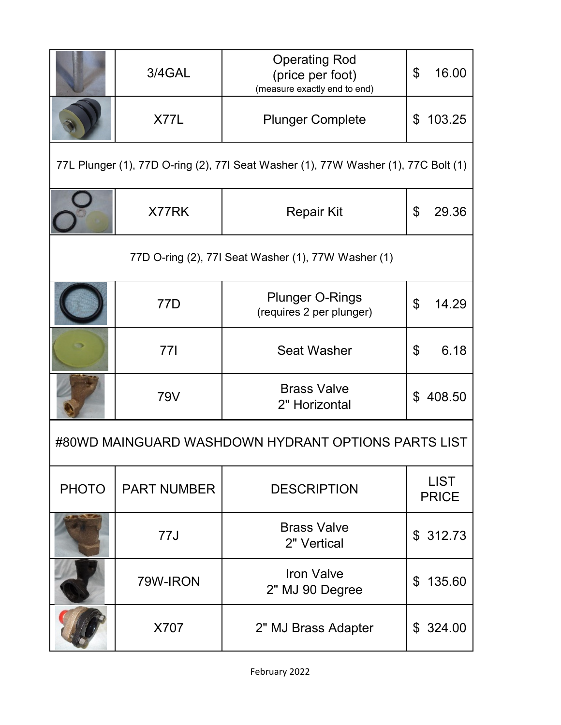|                                                                                    | 3/4GAL             | <b>Operating Rod</b><br>(price per foot)<br>(measure exactly end to end) | \$<br>16.00                        |  |  |  |
|------------------------------------------------------------------------------------|--------------------|--------------------------------------------------------------------------|------------------------------------|--|--|--|
|                                                                                    | X77L               | <b>Plunger Complete</b>                                                  | 103.25<br>\$                       |  |  |  |
| 77L Plunger (1), 77D O-ring (2), 77I Seat Washer (1), 77W Washer (1), 77C Bolt (1) |                    |                                                                          |                                    |  |  |  |
|                                                                                    | X77RK              | <b>Repair Kit</b>                                                        | $\boldsymbol{\mathsf{S}}$<br>29.36 |  |  |  |
| 77D O-ring (2), 77I Seat Washer (1), 77W Washer (1)                                |                    |                                                                          |                                    |  |  |  |
|                                                                                    | 77D                | <b>Plunger O-Rings</b><br>(requires 2 per plunger)                       | \$<br>14.29                        |  |  |  |
|                                                                                    | 771                | <b>Seat Washer</b>                                                       | \$<br>6.18                         |  |  |  |
|                                                                                    | <b>79V</b>         | <b>Brass Valve</b><br>2" Horizontal                                      | 408.50<br>\$                       |  |  |  |
| #80WD MAINGUARD WASHDOWN HYDRANT OPTIONS PARTS LIST                                |                    |                                                                          |                                    |  |  |  |
| <b>PHOTO</b>                                                                       | <b>PART NUMBER</b> | <b>DESCRIPTION</b>                                                       | <b>LIST</b><br><b>PRICE</b>        |  |  |  |
|                                                                                    | 77J                | <b>Brass Valve</b><br>2" Vertical                                        | \$312.73                           |  |  |  |
|                                                                                    | 79W-IRON           | <b>Iron Valve</b><br>2" MJ 90 Degree                                     | 135.60<br>\$                       |  |  |  |
|                                                                                    | X707               | 2" MJ Brass Adapter                                                      | \$324.00                           |  |  |  |